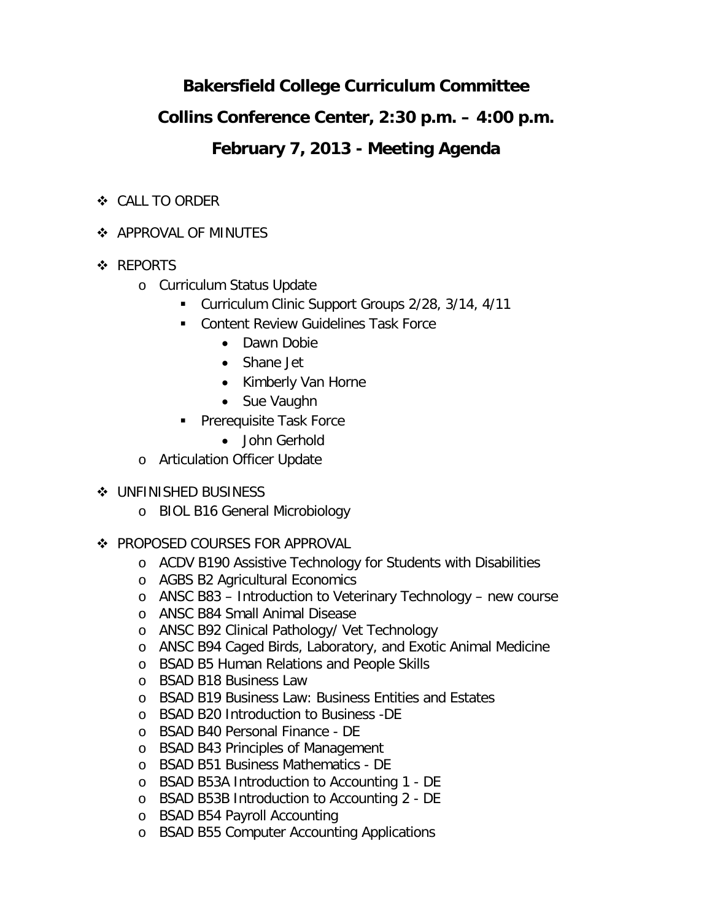# **Bakersfield College Curriculum Committee**

## **Collins Conference Center, 2:30 p.m. – 4:00 p.m.**

## **February 7, 2013 - Meeting Agenda**

- CALL TO ORDER
- **APPROVAL OF MINUTES**
- ❖ REPORTS
	- o Curriculum Status Update
		- Curriculum Clinic Support Groups 2/28, 3/14, 4/11
		- **Content Review Guidelines Task Force** 
			- Dawn Dobie
			- Shane Jet
			- Kimberly Van Horne
			- Sue Vaughn
		- Prerequisite Task Force
			- John Gerhold
	- o Articulation Officer Update
- **❖ UNFINISHED BUSINESS** 
	- o BIOL B16 General Microbiology
- ❖ PROPOSED COURSES FOR APPROVAL
	- o ACDV B190 Assistive Technology for Students with Disabilities
	- o AGBS B2 Agricultural Economics
	- o ANSC B83 Introduction to Veterinary Technology new course
	- o ANSC B84 Small Animal Disease
	- o ANSC B92 Clinical Pathology/ Vet Technology
	- o ANSC B94 Caged Birds, Laboratory, and Exotic Animal Medicine
	- o BSAD B5 Human Relations and People Skills
	- o BSAD B18 Business Law
	- o BSAD B19 Business Law: Business Entities and Estates
	- o BSAD B20 Introduction to Business -DE
	- o BSAD B40 Personal Finance DE
	- o BSAD B43 Principles of Management
	- o BSAD B51 Business Mathematics DE
	- o BSAD B53A Introduction to Accounting 1 DE
	- o BSAD B53B Introduction to Accounting 2 DE
	- o BSAD B54 Payroll Accounting
	- o BSAD B55 Computer Accounting Applications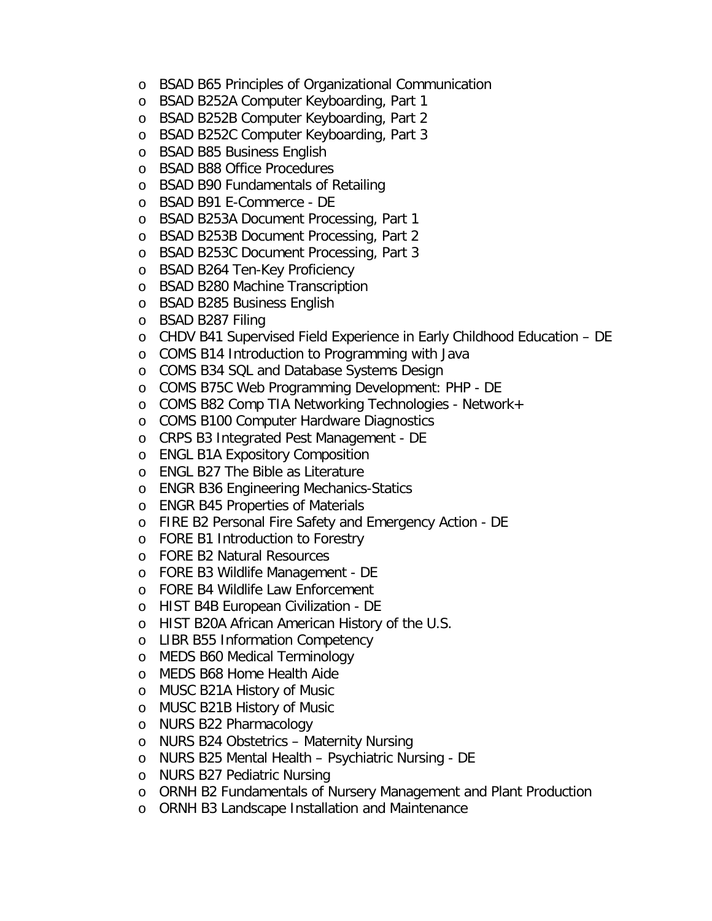- o BSAD B65 Principles of Organizational Communication
- o BSAD B252A Computer Keyboarding, Part 1
- o BSAD B252B Computer Keyboarding, Part 2
- o BSAD B252C Computer Keyboarding, Part 3
- o BSAD B85 Business English
- o BSAD B88 Office Procedures
- o BSAD B90 Fundamentals of Retailing
- o BSAD B91 E-Commerce DE
- o BSAD B253A Document Processing, Part 1
- o BSAD B253B Document Processing, Part 2
- o BSAD B253C Document Processing, Part 3
- o BSAD B264 Ten-Key Proficiency
- o BSAD B280 Machine Transcription
- o BSAD B285 Business English
- o BSAD B287 Filing
- o CHDV B41 Supervised Field Experience in Early Childhood Education DE
- o COMS B14 Introduction to Programming with Java
- o COMS B34 SQL and Database Systems Design
- o COMS B75C Web Programming Development: PHP DE
- o COMS B82 Comp TIA Networking Technologies Network+
- o COMS B100 Computer Hardware Diagnostics
- o CRPS B3 Integrated Pest Management DE
- o ENGL B1A Expository Composition
- o ENGL B27 The Bible as Literature
- o ENGR B36 Engineering Mechanics-Statics
- o ENGR B45 Properties of Materials
- o FIRE B2 Personal Fire Safety and Emergency Action DE
- o FORE B1 Introduction to Forestry
- o FORE B2 Natural Resources
- o FORE B3 Wildlife Management DE
- o FORE B4 Wildlife Law Enforcement
- o HIST B4B European Civilization DE
- o HIST B20A African American History of the U.S.
- o LIBR B55 Information Competency
- o MEDS B60 Medical Terminology
- o MEDS B68 Home Health Aide
- o MUSC B21A History of Music
- o MUSC B21B History of Music
- o NURS B22 Pharmacology
- o NURS B24 Obstetrics Maternity Nursing
- o NURS B25 Mental Health Psychiatric Nursing DE
- o NURS B27 Pediatric Nursing
- o ORNH B2 Fundamentals of Nursery Management and Plant Production
- o ORNH B3 Landscape Installation and Maintenance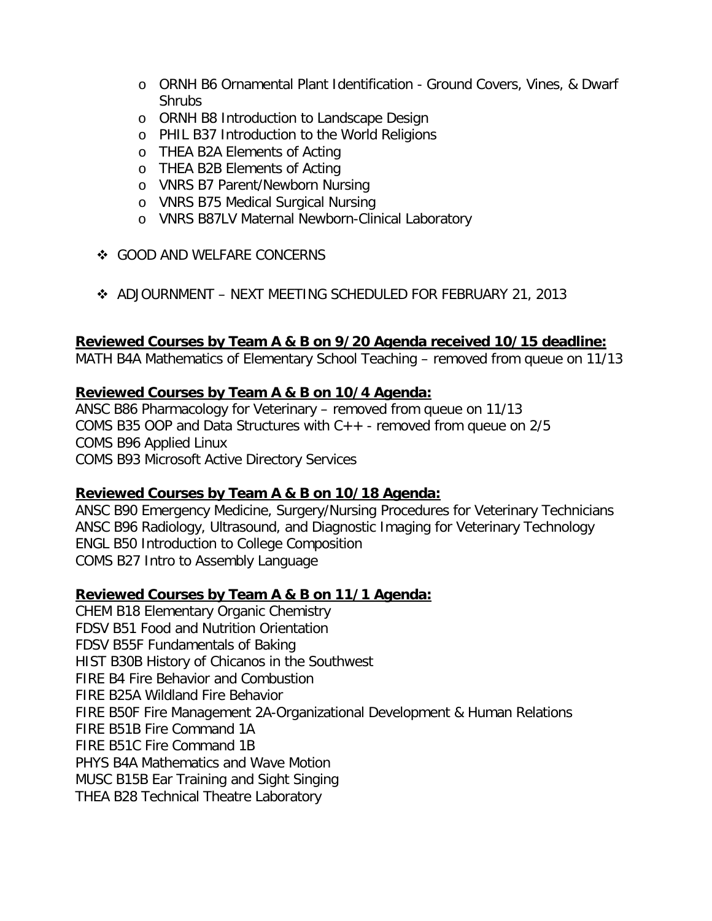- o ORNH B6 Ornamental Plant Identification Ground Covers, Vines, & Dwarf Shrubs
- o ORNH B8 Introduction to Landscape Design
- o PHIL B37 Introduction to the World Religions
- o THEA B2A Elements of Acting
- o THEA B2B Elements of Acting
- o VNRS B7 Parent/Newborn Nursing
- o VNRS B75 Medical Surgical Nursing
- o VNRS B87LV Maternal Newborn-Clinical Laboratory
- ❖ GOOD AND WELFARE CONCERNS
- ADJOURNMENT NEXT MEETING SCHEDULED FOR FEBRUARY 21, 2013

#### **Reviewed Courses by Team A & B on 9/20 Agenda received 10/15 deadline:**

MATH B4A Mathematics of Elementary School Teaching – removed from queue on 11/13

#### **Reviewed Courses by Team A & B on 10/4 Agenda:**

ANSC B86 Pharmacology for Veterinary – removed from queue on 11/13 COMS B35 OOP and Data Structures with C++ - removed from queue on 2/5 COMS B96 Applied Linux COMS B93 Microsoft Active Directory Services

### **Reviewed Courses by Team A & B on 10/18 Agenda:**

ANSC B90 Emergency Medicine, Surgery/Nursing Procedures for Veterinary Technicians ANSC B96 Radiology, Ultrasound, and Diagnostic Imaging for Veterinary Technology ENGL B50 Introduction to College Composition COMS B27 Intro to Assembly Language

### **Reviewed Courses by Team A & B on 11/1 Agenda:**

CHEM B18 Elementary Organic Chemistry FDSV B51 Food and Nutrition Orientation FDSV B55F Fundamentals of Baking HIST B30B History of Chicanos in the Southwest FIRE B4 Fire Behavior and Combustion FIRE B25A Wildland Fire Behavior FIRE B50F Fire Management 2A-Organizational Development & Human Relations FIRE B51B Fire Command 1A FIRE B51C Fire Command 1B PHYS B4A Mathematics and Wave Motion MUSC B15B Ear Training and Sight Singing THEA B28 Technical Theatre Laboratory